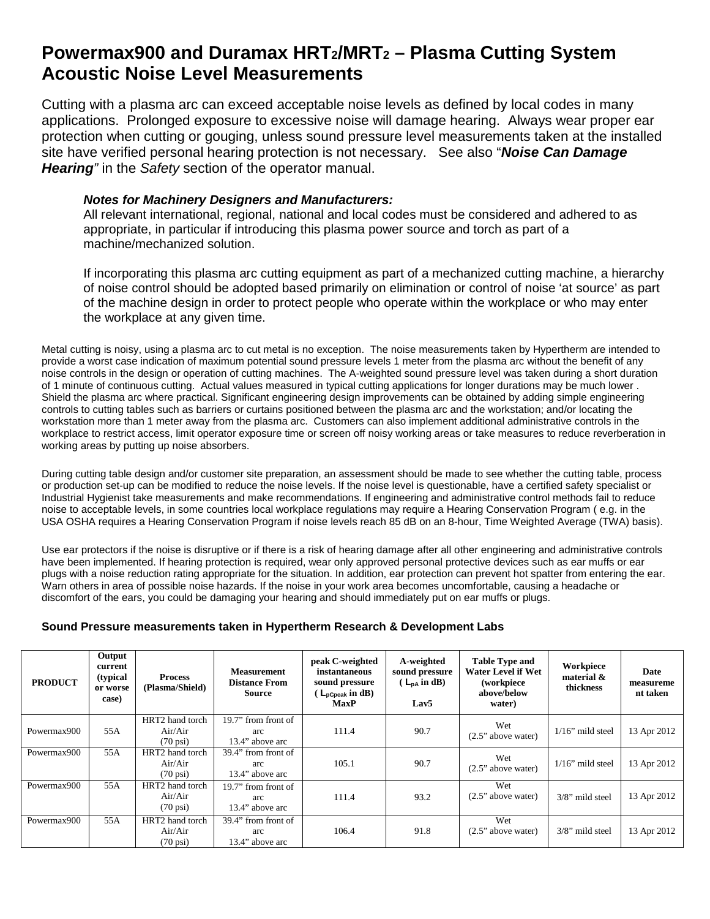## **Powermax900 and Duramax HRT2/MRT2 – Plasma Cutting System Acoustic Noise Level Measurements**

Cutting with a plasma arc can exceed acceptable noise levels as defined by local codes in many applications. Prolonged exposure to excessive noise will damage hearing. Always wear proper ear protection when cutting or gouging, unless sound pressure level measurements taken at the installed site have verified personal hearing protection is not necessary. See also "*Noise Can Damage Hearing"* in the *Safety* section of the operator manual.

## *Notes for Machinery Designers and Manufacturers:*

All relevant international, regional, national and local codes must be considered and adhered to as appropriate, in particular if introducing this plasma power source and torch as part of a machine/mechanized solution.

If incorporating this plasma arc cutting equipment as part of a mechanized cutting machine, a hierarchy of noise control should be adopted based primarily on elimination or control of noise 'at source' as part of the machine design in order to protect people who operate within the workplace or who may enter the workplace at any given time.

Metal cutting is noisy, using a plasma arc to cut metal is no exception. The noise measurements taken by Hypertherm are intended to provide a worst case indication of maximum potential sound pressure levels 1 meter from the plasma arc without the benefit of any noise controls in the design or operation of cutting machines. The A-weighted sound pressure level was taken during a short duration of 1 minute of continuous cutting. Actual values measured in typical cutting applications for longer durations may be much lower . Shield the plasma arc where practical. Significant engineering design improvements can be obtained by adding simple engineering controls to cutting tables such as barriers or curtains positioned between the plasma arc and the workstation; and/or locating the workstation more than 1 meter away from the plasma arc. Customers can also implement additional administrative controls in the workplace to restrict access, limit operator exposure time or screen off noisy working areas or take measures to reduce reverberation in working areas by putting up noise absorbers.

During cutting table design and/or customer site preparation, an assessment should be made to see whether the cutting table, process or production set-up can be modified to reduce the noise levels. If the noise level is questionable, have a certified safety specialist or Industrial Hygienist take measurements and make recommendations. If engineering and administrative control methods fail to reduce noise to acceptable levels, in some countries local workplace regulations may require a Hearing Conservation Program ( e.g. in the USA OSHA requires a Hearing Conservation Program if noise levels reach 85 dB on an 8-hour, Time Weighted Average (TWA) basis).

Use ear protectors if the noise is disruptive or if there is a risk of hearing damage after all other engineering and administrative controls have been implemented. If hearing protection is required, wear only approved personal protective devices such as ear muffs or ear plugs with a noise reduction rating appropriate for the situation. In addition, ear protection can prevent hot spatter from entering the ear. Warn others in area of possible noise hazards. If the noise in your work area becomes uncomfortable, causing a headache or discomfort of the ears, you could be damaging your hearing and should immediately put on ear muffs or plugs.

## **Sound Pressure measurements taken in Hypertherm Research & Development Labs**

| <b>PRODUCT</b> | Output<br>current<br>(typical)<br>or worse<br>case) | <b>Process</b><br>(Plasma/Shield)                | <b>Measurement</b><br><b>Distance From</b><br>Source | peak C-weighted<br>instantaneous<br>sound pressure<br>$L_{\text{pCpeak}}$ in dB)<br><b>MaxP</b> | A-weighted<br>sound pressure<br>$\left( L_{\mathsf{p}\mathsf{A}}\text{ in dB}\right)$<br>Lav <sub>5</sub> | <b>Table Type and</b><br><b>Water Level if Wet</b><br>(workpiece<br>above/below<br>water) | Workpiece<br>material $\&$<br>thickness | Date<br>measureme<br>nt taken |
|----------------|-----------------------------------------------------|--------------------------------------------------|------------------------------------------------------|-------------------------------------------------------------------------------------------------|-----------------------------------------------------------------------------------------------------------|-------------------------------------------------------------------------------------------|-----------------------------------------|-------------------------------|
| Powermax900    | 55A                                                 | HRT2 hand torch<br>Air/Air<br>$(70 \text{ psi})$ | 19.7" from front of<br>arc<br>13.4" above arc        | 111.4                                                                                           | 90.7                                                                                                      | Wet<br>$(2.5)$ above water)                                                               | $1/16$ " mild steel                     | 13 Apr 2012                   |
| Powermax900    | 55A                                                 | HRT2 hand torch<br>Air/Air<br>$(70 \text{ psi})$ | 39.4" from front of<br>arc<br>13.4" above arc        | 105.1                                                                                           | 90.7                                                                                                      | Wet<br>$(2.5"$ above water)                                                               | $1/16$ " mild steel                     | 13 Apr 2012                   |
| Powermax900    | 55A                                                 | HRT2 hand torch<br>Air/Air<br>$(70 \text{ psi})$ | $19.7$ " from front of<br>arc<br>13.4" above arc     | 111.4                                                                                           | 93.2                                                                                                      | Wet<br>$(2.5)$ above water)                                                               | $3/8$ " mild steel                      | 13 Apr 2012                   |
| Powermax900    | 55A                                                 | HRT2 hand torch<br>Air/Air<br>$(70 \text{ psi})$ | 39.4" from front of<br>arc<br>13.4" above arc        | 106.4                                                                                           | 91.8                                                                                                      | Wet<br>$(2.5"$ above water)                                                               | $3/8$ " mild steel                      | 13 Apr 2012                   |